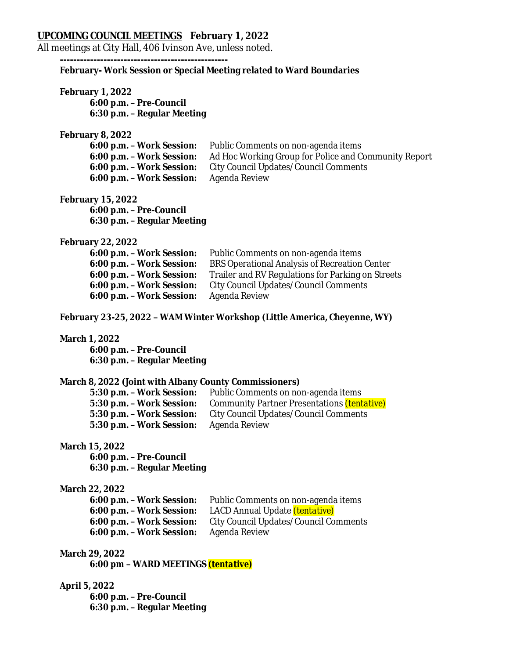# **UPCOMING COUNCIL MEETINGS February 1, 2022**

All meetings at City Hall, 406 Ivinson Ave, unless noted.

**--------------------------------------------------**

# **February- Work Session or Special Meeting related to Ward Boundaries**

**February 1, 2022 6:00 p.m. – Pre-Council 6:30 p.m. – Regular Meeting**

#### **February 8, 2022**

| 6:00 p.m. - Work Session: | Public Comments on non-agenda items                  |
|---------------------------|------------------------------------------------------|
| 6:00 p.m. - Work Session: | Ad Hoc Working Group for Police and Community Report |
| 6:00 p.m. - Work Session: | City Council Updates/Council Comments                |
| 6:00 p.m. - Work Session: | Agenda Review                                        |

#### **February 15, 2022**

**6:00 p.m. – Pre-Council 6:30 p.m. – Regular Meeting**

### **February 22, 2022**

| 6:00 p.m. - Work Session: | Public Comments on non-agenda items               |
|---------------------------|---------------------------------------------------|
| 6:00 p.m. - Work Session: | BRS Operational Analysis of Recreation Center     |
| 6:00 p.m. - Work Session: | Trailer and RV Regulations for Parking on Streets |
| 6:00 p.m. - Work Session: | City Council Updates/Council Comments             |
| 6:00 p.m. - Work Session: | Agenda Review                                     |

## **February 23-25, 2022 – WAM Winter Workshop (Little America, Cheyenne, WY)**

#### **March 1, 2022**

**6:00 p.m. – Pre-Council 6:30 p.m. – Regular Meeting**

## **March 8, 2022 (Joint with Albany County Commissioners)**

| 5:30 p.m. - Work Session: | Public Comments on non-agenda items                |  |
|---------------------------|----------------------------------------------------|--|
| 5:30 p.m. - Work Session: | Community Partner Presentations <i>(tentative)</i> |  |
| 5:30 p.m. - Work Session: | City Council Updates/Council Comments              |  |
| 5:30 p.m. - Work Session: | Agenda Review                                      |  |

#### **March 15, 2022**

**6:00 p.m. – Pre-Council 6:30 p.m. – Regular Meeting**

**March 22, 2022 Public Comments on non-agenda items 6:00 p.m. – Work Session:** LACD Annual Update *(tentative)* **6:00 p.m. – Work Session:** City Council Updates/Council Comments **6:00 p.m. – Work Session:** Agenda Review

# **March 29, 2022**

**6:00 pm – WARD MEETINGS** *(tentative)*

## **April 5, 2022**

**6:00 p.m. – Pre-Council 6:30 p.m. – Regular Meeting**